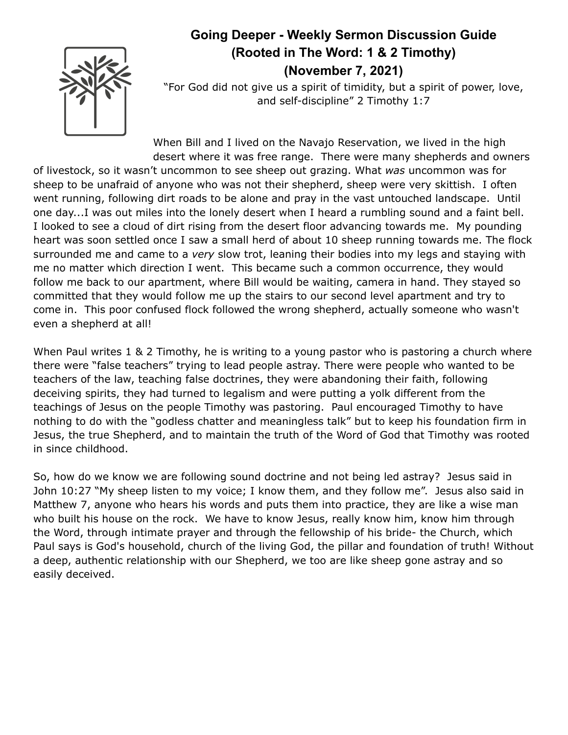

## **Going Deeper - Weekly Sermon Discussion Guide (Rooted in The Word: 1 & 2 Timothy) (November 7, 2021)**

"For God did not give us a spirit of timidity, but a spirit of power, love, and self-discipline" 2 Timothy 1:7

When Bill and I lived on the Navajo Reservation, we lived in the high desert where it was free range. There were many shepherds and owners

of livestock, so it wasn't uncommon to see sheep out grazing. What *was* uncommon was for sheep to be unafraid of anyone who was not their shepherd, sheep were very skittish. I often went running, following dirt roads to be alone and pray in the vast untouched landscape. Until one day...I was out miles into the lonely desert when I heard a rumbling sound and a faint bell. I looked to see a cloud of dirt rising from the desert floor advancing towards me. My pounding heart was soon settled once I saw a small herd of about 10 sheep running towards me. The flock surrounded me and came to a *very* slow trot, leaning their bodies into my legs and staying with me no matter which direction I went. This became such a common occurrence, they would follow me back to our apartment, where Bill would be waiting, camera in hand. They stayed so committed that they would follow me up the stairs to our second level apartment and try to come in. This poor confused flock followed the wrong shepherd, actually someone who wasn't even a shepherd at all!

When Paul writes 1 & 2 Timothy, he is writing to a young pastor who is pastoring a church where there were "false teachers" trying to lead people astray. There were people who wanted to be teachers of the law, teaching false doctrines, they were abandoning their faith, following deceiving spirits, they had turned to legalism and were putting a yolk different from the teachings of Jesus on the people Timothy was pastoring. Paul encouraged Timothy to have nothing to do with the "godless chatter and meaningless talk" but to keep his foundation firm in Jesus, the true Shepherd, and to maintain the truth of the Word of God that Timothy was rooted in since childhood.

So, how do we know we are following sound doctrine and not being led astray? Jesus said in John 10:27 "My sheep listen to my voice; I know them, and they follow me". Jesus also said in Matthew 7, anyone who hears his words and puts them into practice, they are like a wise man who built his house on the rock. We have to know Jesus, really know him, know him through the Word, through intimate prayer and through the fellowship of his bride- the Church, which Paul says is God's household, church of the living God, the pillar and foundation of truth! Without a deep, authentic relationship with our Shepherd, we too are like sheep gone astray and so easily deceived.